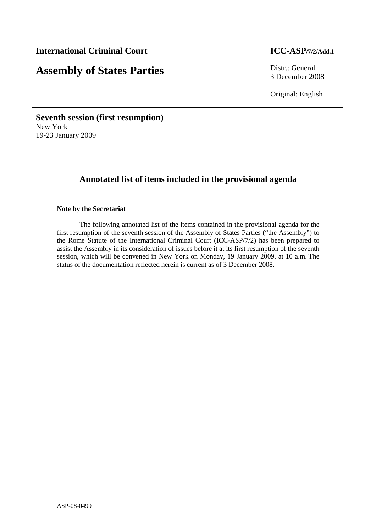# **Assembly of States Parties** Distr.: General

3 December 2008

Original: English

**Seventh session (first resumption)**  New York 19-23 January 2009

# **Annotated list of items included in the provisional agenda**

# **Note by the Secretariat**

 The following annotated list of the items contained in the provisional agenda for the first resumption of the seventh session of the Assembly of States Parties ("the Assembly") to the Rome Statute of the International Criminal Court (ICC-ASP/7/2) has been prepared to assist the Assembly in its consideration of issues before it at its first resumption of the seventh session, which will be convened in New York on Monday, 19 January 2009, at 10 a.m. The status of the documentation reflected herein is current as of 3 December 2008.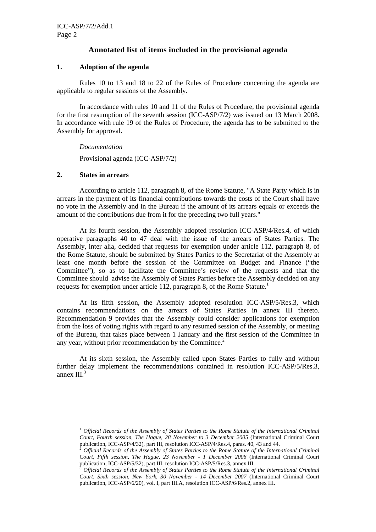# **Annotated list of items included in the provisional agenda**

### **1. Adoption of the agenda**

Rules 10 to 13 and 18 to 22 of the Rules of Procedure concerning the agenda are applicable to regular sessions of the Assembly.

In accordance with rules 10 and 11 of the Rules of Procedure, the provisional agenda for the first resumption of the seventh session (ICC-ASP/7/2) was issued on 13 March 2008. In accordance with rule 19 of the Rules of Procedure, the agenda has to be submitted to the Assembly for approval.

*Documentation* 

Provisional agenda (ICC-ASP/7/2)

#### **2. States in arrears**

 $\overline{a}$ 

 According to article 112, paragraph 8, of the Rome Statute, "A State Party which is in arrears in the payment of its financial contributions towards the costs of the Court shall have no vote in the Assembly and in the Bureau if the amount of its arrears equals or exceeds the amount of the contributions due from it for the preceding two full years."

 At its fourth session, the Assembly adopted resolution ICC-ASP/4/Res.4, of which operative paragraphs 40 to 47 deal with the issue of the arrears of States Parties. The Assembly, inter alia, decided that requests for exemption under article 112, paragraph 8, of the Rome Statute, should be submitted by States Parties to the Secretariat of the Assembly at least one month before the session of the Committee on Budget and Finance ("the Committee"), so as to facilitate the Committee's review of the requests and that the Committee should advise the Assembly of States Parties before the Assembly decided on any requests for exemption under article 112, paragraph 8, of the Rome Statute.<sup>1</sup>

 At its fifth session, the Assembly adopted resolution ICC-ASP/5/Res.3, which contains recommendations on the arrears of States Parties in annex III thereto. Recommendation 9 provides that the Assembly could consider applications for exemption from the loss of voting rights with regard to any resumed session of the Assembly, or meeting of the Bureau, that takes place between 1 January and the first session of the Committee in any year, without prior recommendation by the Committee. $2$ 

At its sixth session, the Assembly called upon States Parties to fully and without further delay implement the recommendations contained in resolution ICC-ASP/5/Res.3, annex  $III.^3$ 

<sup>1</sup> *Official Records of the Assembly of States Parties to the Rome Statute of the International Criminal Court, Fourth session, The Hague, 28 November to 3 December 2005* (International Criminal Court publication, ICC-ASP/4/32), part III, resolution ICC-ASP/4/Res.4, paras. 40, 43 and 44.

<sup>2</sup> *Official Records of the Assembly of States Parties to the Rome Statute of the International Criminal Court, Fifth session, The Hague, 23 November - 1 December 2006* (International Criminal Court publication, ICC-ASP/5/32), part III, resolution ICC-ASP/5/Res.3, annex III.

<sup>3</sup> *Official Records of the Assembly of States Parties to the Rome Statute of the International Criminal Court, Sixth session, New York, 30 November - 14 December 2007* (International Criminal Court publication, ICC-ASP/6/20), vol. I, part III.A, resolution ICC-ASP/6/Res.2, annex III.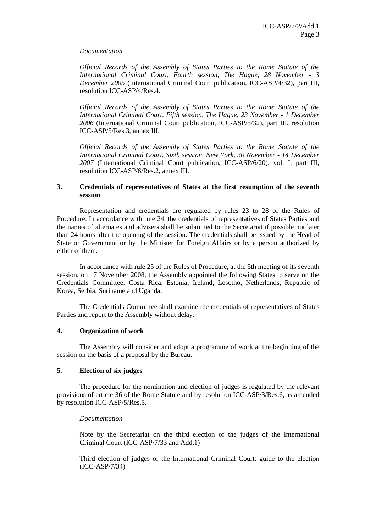#### *Documentation*

*Official Records of the Assembly of States Parties to the Rome Statute of the International Criminal Court, Fourth session, The Hague, 28 November - 3 December 2005* (International Criminal Court publication, ICC-ASP/4/32), part III, resolution ICC-ASP/4/Res.4.

*Official Records of the Assembly of States Parties to the Rome Statute of the International Criminal Court, Fifth session, The Hague, 23 November - 1 December 2006* (International Criminal Court publication, ICC-ASP/5/32), part III, resolution ICC-ASP/5/Res.3, annex III.

*Official Records of the Assembly of States Parties to the Rome Statute of the International Criminal Court, Sixth session, New York, 30 November - 14 December 2007* (International Criminal Court publication, ICC-ASP/6/20), vol. I, part III, resolution ICC-ASP/6/Res.2, annex III.

#### **3. Credentials of representatives of States at the first resumption of the seventh session**

Representation and credentials are regulated by rules 23 to 28 of the Rules of Procedure. In accordance with rule 24, the credentials of representatives of States Parties and the names of alternates and advisers shall be submitted to the Secretariat if possible not later than 24 hours after the opening of the session. The credentials shall be issued by the Head of State or Government or by the Minister for Foreign Affairs or by a person authorized by either of them.

 In accordance with rule 25 of the Rules of Procedure, at the 5th meeting of its seventh session, on 17 November 2008, the Assembly appointed the following States to serve on the Credentials Committee: Costa Rica, Estonia, Ireland, Lesotho, Netherlands, Republic of Korea, Serbia, Suriname and Uganda.

The Credentials Committee shall examine the credentials of representatives of States Parties and report to the Assembly without delay.

#### **4. Organization of work**

The Assembly will consider and adopt a programme of work at the beginning of the session on the basis of a proposal by the Bureau.

#### **5. Election of six judges**

 The procedure for the nomination and election of judges is regulated by the relevant provisions of article 36 of the Rome Statute and by resolution ICC-ASP/3/Res.6, as amended by resolution ICC-ASP/5/Res.5.

#### *Documentation*

Note by the Secretariat on the third election of the judges of the International Criminal Court (ICC-ASP/7/33 and Add.1)

Third election of judges of the International Criminal Court: guide to the election (ICC-ASP/7/34)